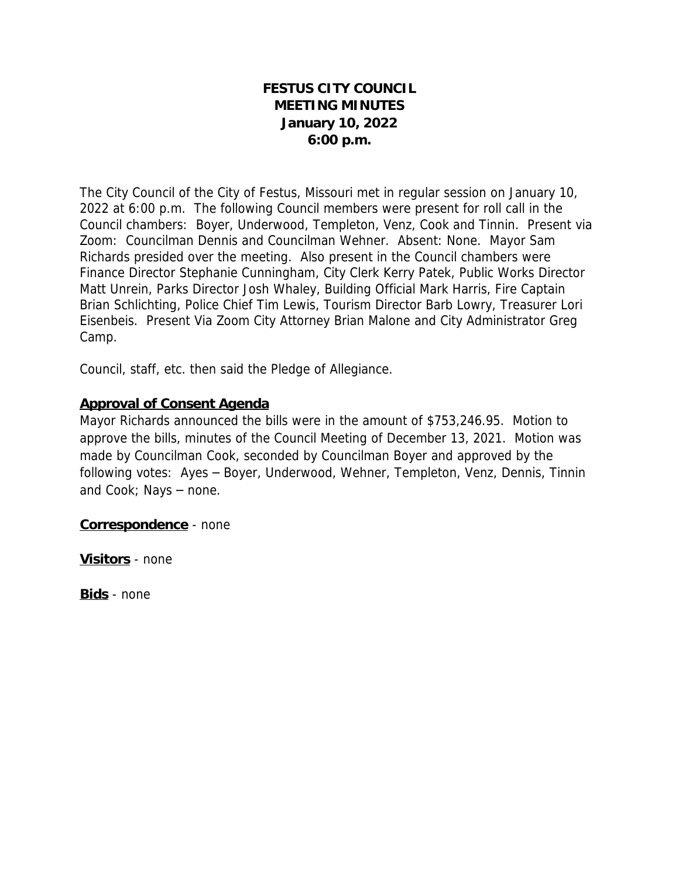# **FESTUS CITY COUNCIL MEETING MINUTES January 10, 2022 6:00 p.m.**

The City Council of the City of Festus, Missouri met in regular session on January 10, 2022 at 6:00 p.m. The following Council members were present for roll call in the Council chambers: Boyer, Underwood, Templeton, Venz, Cook and Tinnin. Present via Zoom: Councilman Dennis and Councilman Wehner. Absent: None. Mayor Sam Richards presided over the meeting. Also present in the Council chambers were Finance Director Stephanie Cunningham, City Clerk Kerry Patek, Public Works Director Matt Unrein, Parks Director Josh Whaley, Building Official Mark Harris, Fire Captain Brian Schlichting, Police Chief Tim Lewis, Tourism Director Barb Lowry, Treasurer Lori Eisenbeis. Present Via Zoom City Attorney Brian Malone and City Administrator Greg Camp.

Council, staff, etc. then said the Pledge of Allegiance.

## **Approval of Consent Agenda**

Mayor Richards announced the bills were in the amount of \$753,246.95. Motion to approve the bills, minutes of the Council Meeting of December 13, 2021. Motion was made by Councilman Cook, seconded by Councilman Boyer and approved by the following votes: Ayes – Boyer, Underwood, Wehner, Templeton, Venz, Dennis, Tinnin and Cook; Nays – none.

**Correspondence** - none

**Visitors** - none

**Bids** - none